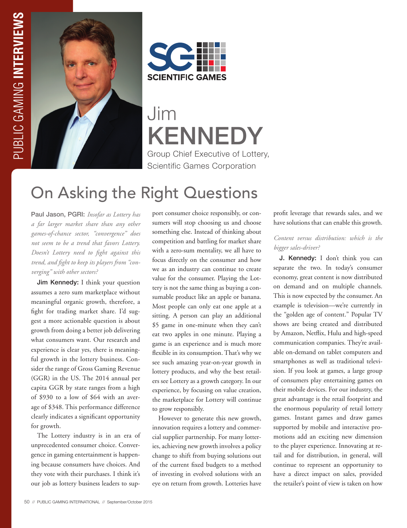



Jim KENNEDY Group Chief Executive of Lottery, Scientific Games Corporation

# On Asking the Right Questions

Paul Jason, PGRI: *Insofar as Lottery has a far larger market share than any other games-of-chance sector, "convergence" does not seem to be a trend that favors Lottery. Doesn't Lottery need to fight against this trend, and fight to keep its players from "converging" with other sectors?* 

Jim Kennedy: I think your question assumes a zero sum marketplace without meaningful organic growth, therefore, a fight for trading market share. I'd suggest a more actionable question is about growth from doing a better job delivering what consumers want. Our research and experience is clear yes, there is meaningful growth in the lottery business. Consider the range of Gross Gaming Revenue (GGR) in the US. The 2014 annual per capita GGR by state ranges from a high of \$930 to a low of \$64 with an average of \$348. This performance difference clearly indicates a significant opportunity for growth.

The Lottery industry is in an era of unprecedented consumer choice. Convergence in gaming entertainment is happening because consumers have choices. And they vote with their purchases. I think it's our job as lottery business leaders to support consumer choice responsibly, or consumers will stop choosing us and choose something else. Instead of thinking about competition and battling for market share with a zero-sum mentality, we all have to focus directly on the consumer and how we as an industry can continue to create value for the consumer. Playing the Lottery is not the same thing as buying a consumable product like an apple or banana. Most people can only eat one apple at a sitting. A person can play an additional \$5 game in one-minute when they can't eat two apples in one minute. Playing a game is an experience and is much more flexible in its consumption. That's why we see such amazing year-on-year growth in lottery products, and why the best retailers see Lottery as a growth category. In our experience, by focusing on value creation, the marketplace for Lottery will continue to grow responsibly.

However to generate this new growth, innovation requires a lottery and commercial supplier partnership. For many lotteries, achieving new growth involves a policy change to shift from buying solutions out of the current fixed budgets to a method of investing in evolved solutions with an eye on return from growth. Lotteries have

profit leverage that rewards sales, and we have solutions that can enable this growth.

#### *Content versus distribution: which is the bigger sales-driver?*

J. Kennedy: I don't think you can separate the two. In today's consumer economy, great content is now distributed on demand and on multiple channels. This is now expected by the consumer. An example is television—we're currently in the "golden age of content." Popular TV shows are being created and distributed by Amazon, Netflix, Hulu and high-speed communication companies. They're available on-demand on tablet computers and smartphones as well as traditional television. If you look at games, a large group of consumers play entertaining games on their mobile devices. For our industry, the great advantage is the retail footprint and the enormous popularity of retail lottery games. Instant games and draw games supported by mobile and interactive promotions add an exciting new dimension to the player experience. Innovating at retail and for distribution, in general, will continue to represent an opportunity to have a direct impact on sales, provided the retailer's point of view is taken on how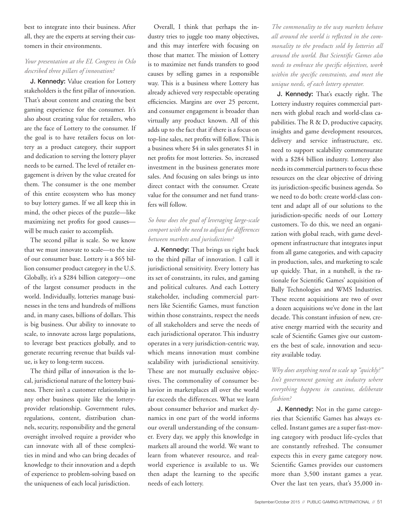best to integrate into their business. After all, they are the experts at serving their customers in their environments.

#### *Your presentation at the EL Congress in Oslo described three pillars of innovation?*

J. Kennedy: Value creation for Lottery stakeholders is the first pillar of innovation. That's about content and creating the best gaming experience for the consumer. It's also about creating value for retailers, who are the face of Lottery to the consumer. If the goal is to have retailers focus on lottery as a product category, their support and dedication to serving the lottery player needs to be earned. The level of retailer engagement is driven by the value created for them. The consumer is the one member of this entire ecosystem who has money to buy lottery games. If we all keep this in mind, the other pieces of the puzzle—like maximizing net profits for good causes will be much easier to accomplish.

The second pillar is scale. So we know that we must innovate to scale—to the size of our consumer base. Lottery is a \$65 billion consumer product category in the U.S. Globally, it's a \$284 billion category—one of the largest consumer products in the world. Individually, lotteries manage businesses in the tens and hundreds of millions and, in many cases, billions of dollars. This is big business. Our ability to innovate to scale, to innovate across large populations, to leverage best practices globally, and to generate recurring revenue that builds value, is key to long-term success.

The third pillar of innovation is the local, jurisdictional nature of the lottery business. There isn't a customer relationship in any other business quite like the lotteryprovider relationship. Government rules, regulations, content, distribution channels, security, responsibility and the general oversight involved require a provider who can innovate with all of these complexities in mind and who can bring decades of knowledge to their innovation and a depth of experience to problem-solving based on the uniqueness of each local jurisdiction.

Overall, I think that perhaps the industry tries to juggle too many objectives, and this may interfere with focusing on those that matter. The mission of Lottery is to maximize net funds transfers to good causes by selling games in a responsible way. This is a business where Lottery has already achieved very respectable operating efficiencies. Margins are over 25 percent, and consumer engagement is broader than virtually any product known. All of this adds up to the fact that if there is a focus on top-line sales, net profits will follow. This is a business where \$4 in sales generates \$1 in net profits for most lotteries. So, increased investment in the business generates more sales. And focusing on sales brings us into direct contact with the consumer. Create value for the consumer and net fund transfers will follow.

### *So how does the goal of leveraging large-scale comport with the need to adjust for differences between markets and jurisdictions?*

J. Kennedy: That brings us right back to the third pillar of innovation. I call it jurisdictional sensitivity. Every lottery has its set of constraints, its rules, and gaming and political cultures. And each Lottery stakeholder, including commercial partners like Scientific Games, must function within those constraints, respect the needs of all stakeholders and serve the needs of each jurisdictional operator. This industry operates in a very jurisdiction-centric way, which means innovation must combine scalability with jurisdictional sensitivity. These are not mutually exclusive objectives. The commonality of consumer behavior in marketplaces all over the world far exceeds the differences. What we learn about consumer behavior and market dynamics in one part of the world informs our overall understanding of the consumer. Every day, we apply this knowledge in markets all around the world. We want to learn from whatever resource, and realworld experience is available to us. We then adapt the learning to the specific needs of each lottery.

*The commonality to the way markets behave all around the world is reflected in the commonality to the products sold by lotteries all around the world. But Scientific Games also needs to embrace the specific objectives, work within the specific constraints, and meet the unique needs, of each lottery operator.* 

J. Kennedy: That's exactly right. The Lottery industry requires commercial partners with global reach and world-class capabilities. The R & D, productive capacity, insights and game development resources, delivery and service infrastructure, etc. need to support scalability commensurate with a \$284 billion industry. Lottery also needs its commercial partners to focus these resources on the clear objective of driving its jurisdiction-specific business agenda. So we need to do both: create world-class content and adapt all of our solutions to the jurisdiction-specific needs of our Lottery customers. To do this, we need an organization with global reach, with game development infrastructure that integrates input from all game categories, and with capacity in production, sales, and marketing to scale up quickly. That, in a nutshell, is the rationale for Scientific Games' acquisition of Bally Technologies and WMS Industries. These recent acquisitions are two of over a dozen acquisitions we've done in the last decade. This constant infusion of new, creative energy married with the security and scale of Scientific Games give our customers the best of scale, innovation and security available today.

## *Why does anything need to scale up "quickly?" Isn't government gaming an industry where everything happens in cautious, deliberate fashion?*

J. Kennedy: Not in the game categories that Scientific Games has always excelled. Instant games are a super fast-moving category with product life-cycles that are constantly refreshed. The consumer expects this in every game category now. Scientific Games provides our customers more than 3,500 instant games a year. Over the last ten years, that's 35,000 in